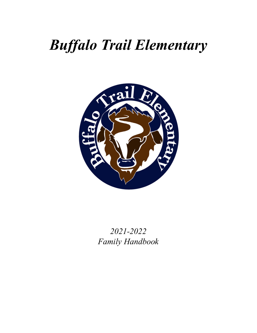## *Buffalo Trail Elementary*



*2021-2022 Family Handbook*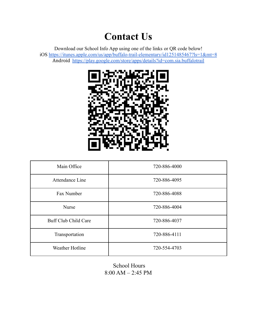## **Contact Us**

Download our School Info App using one of the links or QR code below! iOS <https://itunes.apple.com/us/app/buffalo-trail-elementary/id1251485467?ls=1&mt=8> Android <https://play.google.com/store/apps/details?id=com.sia.buffalotrail>



| Main Office          | 720-886-4000 |
|----------------------|--------------|
| Attendance Line      | 720-886-4095 |
| Fax Number           | 720-886-4088 |
| <b>Nurse</b>         | 720-886-4004 |
| Buff Club Child Care | 720-886-4037 |
| Transportation       | 720-886-4111 |
| Weather Hotline      | 720-554-4703 |

School Hours 8:00 AM – 2:45 PM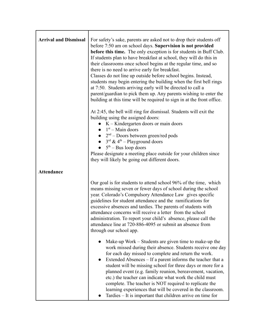| <b>Arrival and Dismissal</b> | For safety's sake, parents are asked not to drop their students off<br>before 7:50 am on school days. Supervision is not provided<br><b>before this time.</b> The only exception is for students in Buff Club.<br>If students plan to have breakfast at school, they will do this in<br>their classrooms once school begins at the regular time, and so<br>there is no need to arrive early for breakfast.<br>Classes do not line up outside before school begins. Instead,<br>students may begin entering the building when the first bell rings<br>at 7:50. Students arriving early will be directed to call a<br>parent/guardian to pick them up. Any parents wishing to enter the<br>building at this time will be required to sign in at the front office.<br>At 2:45, the bell will ring for dismissal. Students will exit the<br>building using the assigned doors:<br>$\bullet$ K – Kindergarten doors or main doors<br>$\bullet$ 1 <sup>st</sup> – Main doors<br>• $2nd$ – Doors between green/red pods<br>• $3^{\text{rd}}$ & 4 <sup>th</sup> – Playground doors<br>$\bullet$ 5 <sup>th</sup> – Bus loop doors<br>Please designate a meeting place outside for your children since<br>they will likely be going out different doors. |
|------------------------------|------------------------------------------------------------------------------------------------------------------------------------------------------------------------------------------------------------------------------------------------------------------------------------------------------------------------------------------------------------------------------------------------------------------------------------------------------------------------------------------------------------------------------------------------------------------------------------------------------------------------------------------------------------------------------------------------------------------------------------------------------------------------------------------------------------------------------------------------------------------------------------------------------------------------------------------------------------------------------------------------------------------------------------------------------------------------------------------------------------------------------------------------------------------------------------------------------------------------------------------------|
| <b>Attendance</b>            | Our goal is for students to attend school 96% of the time, which<br>means missing seven or fewer days of school during the school<br>year. Colorado's Compulsory Attendance Law gives specific<br>guidelines for student attendance and the ramifications for<br>excessive absences and tardies. The parents of students with<br>attendance concerns will receive a letter from the school<br>administration. To report your child's absence, please call the<br>attendance line at 720-886-4095 or submit an absence from<br>through our school app.<br>Make-up Work – Students are given time to make-up the<br>work missed during their absence. Students receive one day<br>for each day missed to complete and return the work.<br>Extended Absences – If a parent informs the teacher that a<br>$\bullet$<br>student will be missing school for three days or more for a<br>planned event (e.g. family reunion, bereavement, vacation,<br>etc.) the teacher can indicate what work the child must<br>complete. The teacher is NOT required to replicate the<br>learning experiences that will be covered in the classroom.<br>Tardies – It is important that children arrive on time for                                                 |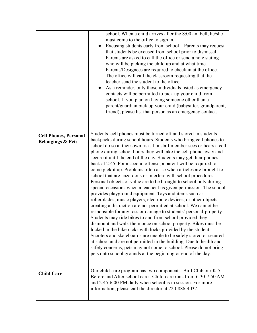|                                                              | school. When a child arrives after the 8:00 am bell, he/she<br>must come to the office to sign in.<br>Excusing students early from school – Parents may request<br>$\bullet$<br>that students be excused from school prior to dismissal.<br>Parents are asked to call the office or send a note stating<br>who will be picking the child up and at what time.<br>Parents/Designees are required to check in at the office.<br>The office will call the classroom requesting that the<br>teacher send the student to the office.<br>As a reminder, only those individuals listed as emergency<br>contacts will be permitted to pick up your child from<br>school. If you plan on having someone other than a<br>parent/guardian pick up your child (babysitter, grandparent,<br>friend), please list that person as an emergency contact.                                                                                                                                                                                                                                                                                                                                                                                                                                                                                                                                                                                                                            |
|--------------------------------------------------------------|---------------------------------------------------------------------------------------------------------------------------------------------------------------------------------------------------------------------------------------------------------------------------------------------------------------------------------------------------------------------------------------------------------------------------------------------------------------------------------------------------------------------------------------------------------------------------------------------------------------------------------------------------------------------------------------------------------------------------------------------------------------------------------------------------------------------------------------------------------------------------------------------------------------------------------------------------------------------------------------------------------------------------------------------------------------------------------------------------------------------------------------------------------------------------------------------------------------------------------------------------------------------------------------------------------------------------------------------------------------------------------------------------------------------------------------------------------------------|
| <b>Cell Phones, Personal</b><br><b>Belongings &amp; Pets</b> | Students' cell phones must be turned off and stored in students'<br>backpacks during school hours. Students who bring cell phones to<br>school do so at their own risk. If a staff member sees or hears a cell<br>phone during school hours they will take the cell phone away and<br>secure it until the end of the day. Students may get their phones<br>back at 2:45. For a second offense, a parent will be required to<br>come pick it up. Problems often arise when articles are brought to<br>school that are hazardous or interfere with school procedures.<br>Personal objects of value are to be brought to school only during<br>special occasions when a teacher has given permission. The school<br>provides playground equipment. Toys and items such as<br>rollerblades, music players, electronic devices, or other objects<br>creating a distraction are not permitted at school. We cannot be<br>responsible for any loss or damage to students' personal property.<br>Students may ride bikes to and from school provided they<br>dismount and walk them once on school property. Bikes must be<br>locked in the bike racks with locks provided by the student.<br>Scooters and skateboards are unable to be safely stored or secured<br>at school and are not permitted in the building. Due to health and<br>safety concerns, pets may not come to school. Please do not bring<br>pets onto school grounds at the beginning or end of the day. |
| <b>Child Care</b>                                            | Our child-care program has two components: Buff Club our K-5<br>Before and After school care. Child-care runs from 6:30-7:50 AM<br>and 2:45-6:00 PM daily when school is in session. For more<br>information, please call the director at 720-886-4037.                                                                                                                                                                                                                                                                                                                                                                                                                                                                                                                                                                                                                                                                                                                                                                                                                                                                                                                                                                                                                                                                                                                                                                                                             |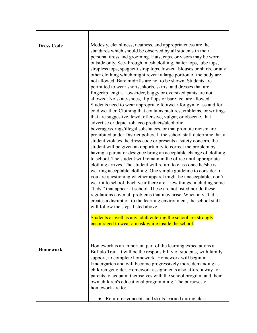| <b>Dress Code</b> | Modesty, cleanliness, neatness, and appropriateness are the<br>standards which should be observed by all students in their<br>personal dress and grooming. Hats, caps, or visors may be worn                                                                                                                                                                                                                                                                                                                                                                                                                                                                                                                                                                                                                                                                                                                                                                                                                                                                                                                                                                                                                                                                                                                                                                                                                                                                                                                                                                                                                                                                                                                               |
|-------------------|----------------------------------------------------------------------------------------------------------------------------------------------------------------------------------------------------------------------------------------------------------------------------------------------------------------------------------------------------------------------------------------------------------------------------------------------------------------------------------------------------------------------------------------------------------------------------------------------------------------------------------------------------------------------------------------------------------------------------------------------------------------------------------------------------------------------------------------------------------------------------------------------------------------------------------------------------------------------------------------------------------------------------------------------------------------------------------------------------------------------------------------------------------------------------------------------------------------------------------------------------------------------------------------------------------------------------------------------------------------------------------------------------------------------------------------------------------------------------------------------------------------------------------------------------------------------------------------------------------------------------------------------------------------------------------------------------------------------------|
|                   | outside only. See-through, mesh clothing, halter tops, tube tops,<br>strapless tops, spaghetti strap tops, low-cut blouses or shirts, or any<br>other clothing which might reveal a large portion of the body are<br>not allowed. Bare midriffs are not to be shown. Students are<br>permitted to wear shorts, skorts, skirts, and dresses that are<br>fingertip length. Low-rider, baggy or oversized pants are not<br>allowed. No skate-shoes, flip flops or bare feet are allowed.<br>Students need to wear appropriate footwear for gym class and for<br>cold weather. Clothing that contains pictures, emblems, or writings<br>that are suggestive, lewd, offensive, vulgar, or obscene, that<br>advertise or depict tobacco products/alcoholic<br>beverages/drugs/illegal substances, or that promote racism are<br>prohibited under District policy. If the school staff determine that a<br>student violates the dress code or presents a safety concern, the<br>student will be given an opportunity to correct the problem by<br>having a parent or designee bring an acceptable change of clothing<br>to school. The student will remain in the office until appropriate<br>clothing arrives. The student will return to class once he/she is<br>wearing acceptable clothing. One simple guideline to consider: if<br>you are questioning whether apparel might be unacceptable, don't<br>wear it to school. Each year there are a few things, including some<br>"fads," that appear at school. These are not listed nor do these<br>regulations cover all problems that may arise. When any "fad"<br>creates a disruption to the learning environment, the school staff<br>will follow the steps listed above. |
|                   | Students as well as any adult entering the school are strongly<br>encouraged to wear a mask while inside the school.                                                                                                                                                                                                                                                                                                                                                                                                                                                                                                                                                                                                                                                                                                                                                                                                                                                                                                                                                                                                                                                                                                                                                                                                                                                                                                                                                                                                                                                                                                                                                                                                       |
| <b>Homework</b>   | Homework is an important part of the learning expectations at<br>Buffalo Trail. It will be the responsibility of students, with family<br>support, to complete homework. Homework will begin in<br>kindergarten and will become progressively more demanding as<br>children get older. Homework assignments also afford a way for<br>parents to acquaint themselves with the school program and their<br>own children's educational programming. The purposes of<br>homework are to:                                                                                                                                                                                                                                                                                                                                                                                                                                                                                                                                                                                                                                                                                                                                                                                                                                                                                                                                                                                                                                                                                                                                                                                                                                       |
|                   | Reinforce concepts and skills learned during class                                                                                                                                                                                                                                                                                                                                                                                                                                                                                                                                                                                                                                                                                                                                                                                                                                                                                                                                                                                                                                                                                                                                                                                                                                                                                                                                                                                                                                                                                                                                                                                                                                                                         |

г

т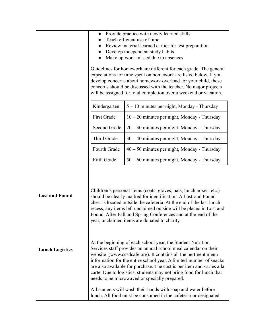|                        |                    | Provide practice with newly learned skills<br>Teach efficient use of time<br>Review material learned earlier for test preparation<br>Develop independent study habits<br>Make up work missed due to absences<br>Guidelines for homework are different for each grade. The general<br>expectations for time spent on homework are listed below. If you<br>develop concerns about homework overload for your child, these<br>concerns should be discussed with the teacher. No major projects<br>will be assigned for total completion over a weekend or vacation. |
|------------------------|--------------------|------------------------------------------------------------------------------------------------------------------------------------------------------------------------------------------------------------------------------------------------------------------------------------------------------------------------------------------------------------------------------------------------------------------------------------------------------------------------------------------------------------------------------------------------------------------|
|                        | Kindergarten       | 5 – 10 minutes per night, Monday - Thursday                                                                                                                                                                                                                                                                                                                                                                                                                                                                                                                      |
|                        | <b>First Grade</b> | $10 - 20$ minutes per night, Monday - Thursday                                                                                                                                                                                                                                                                                                                                                                                                                                                                                                                   |
|                        | Second Grade       | 20 - 30 minutes per night, Monday - Thursday                                                                                                                                                                                                                                                                                                                                                                                                                                                                                                                     |
|                        | Third Grade        | 30 – 40 minutes per night, Monday - Thursday                                                                                                                                                                                                                                                                                                                                                                                                                                                                                                                     |
|                        | Fourth Grade       | 40 – 50 minutes per night, Monday - Thursday                                                                                                                                                                                                                                                                                                                                                                                                                                                                                                                     |
|                        | Fifth Grade        | 50 – 60 minutes per night, Monday - Thursday                                                                                                                                                                                                                                                                                                                                                                                                                                                                                                                     |
| <b>Lost and Found</b>  |                    | Children's personal items (coats, gloves, hats, lunch boxes, etc.)<br>should be clearly marked for identification. A Lost and Found<br>chest is located outside the cafeteria. At the end of the last lunch<br>recess, any items left unclaimed outside will be placed in Lost and<br>Found. After Fall and Spring Conferences and at the end of the<br>year, unclaimed items are donated to charity.                                                                                                                                                            |
| <b>Lunch Logistics</b> |                    | At the beginning of each school year, the Student Nutrition<br>Services staff provides an annual school meal calendar on their<br>website (www.ccsdcafe.org). It contains all the pertinent menu<br>information for the entire school year. A limited number of snacks<br>are also available for purchase. The cost is per item and varies a la<br>carte. Due to logistics, students may not bring food for lunch that<br>needs to be microwaved or specially prepared.                                                                                          |
|                        |                    | All students will wash their hands with soap and water before<br>lunch. All food must be consumed in the cafeteria or designated                                                                                                                                                                                                                                                                                                                                                                                                                                 |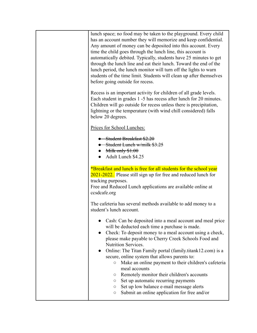| lunch space; no food may be taken to the playground. Every child<br>has an account number they will memorize and keep confidential.<br>Any amount of money can be deposited into this account. Every<br>time the child goes through the lunch line, this account is<br>automatically debited. Typically, students have 25 minutes to get<br>through the lunch line and eat their lunch. Toward the end of the<br>lunch period, the lunch monitor will turn off the lights to warn<br>students of the time limit. Students will clean up after themselves<br>before going outside for recess.                                                                                                    |
|-------------------------------------------------------------------------------------------------------------------------------------------------------------------------------------------------------------------------------------------------------------------------------------------------------------------------------------------------------------------------------------------------------------------------------------------------------------------------------------------------------------------------------------------------------------------------------------------------------------------------------------------------------------------------------------------------|
| Recess is an important activity for children of all grade levels.<br>Each student in grades 1 -5 has recess after lunch for 20 minutes.<br>Children will go outside for recess unless there is precipitation,<br>lightning or the temperature (with wind chill considered) falls<br>below 20 degrees.                                                                                                                                                                                                                                                                                                                                                                                           |
| Prices for School Lunches:                                                                                                                                                                                                                                                                                                                                                                                                                                                                                                                                                                                                                                                                      |
| Student Breakfast \$2.20<br><b>Student Lunch w/milk \$3.25</b><br>Milk only $$1.00$<br>Adult Lunch \$4.25                                                                                                                                                                                                                                                                                                                                                                                                                                                                                                                                                                                       |
| *Breakfast and lunch is free for all students for the school year<br>2021-2022. Please still sign up for free and reduced lunch for<br>tracking purposes.<br>Free and Reduced Lunch applications are available online at<br>ccsdcafe.org                                                                                                                                                                                                                                                                                                                                                                                                                                                        |
| The cafeteria has several methods available to add money to a<br>student's lunch account.                                                                                                                                                                                                                                                                                                                                                                                                                                                                                                                                                                                                       |
| Cash: Can be deposited into a meal account and meal price<br>will be deducted each time a purchase is made.<br>Check: To deposit money to a meal account using a check,<br>please make payable to Cherry Creek Schools Food and<br>Nutrition Services.<br>Online: The Titan Family portal (family.titank12.com) is a<br>secure, online system that allows parents to:<br>Make an online payment to their children's cafeteria<br>$\bigcirc$<br>meal accounts<br>Remotely monitor their children's accounts<br>$\circ$<br>Set up automatic recurring payments<br>O<br>Set up low balance e-mail message alerts<br>$\circ$<br>Submit an online application for free and/or<br>$\circlearrowright$ |
|                                                                                                                                                                                                                                                                                                                                                                                                                                                                                                                                                                                                                                                                                                 |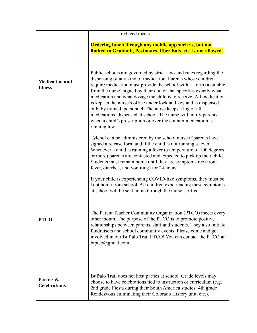|                                         | reduced meals                                                                                                                                                                                                                                                                                                                                                                                                                                                                                                                                                                                                                          |
|-----------------------------------------|----------------------------------------------------------------------------------------------------------------------------------------------------------------------------------------------------------------------------------------------------------------------------------------------------------------------------------------------------------------------------------------------------------------------------------------------------------------------------------------------------------------------------------------------------------------------------------------------------------------------------------------|
|                                         | Ordering lunch through any mobile app such as, but not<br>limited to Grubhub, Postmates, Uber Eats, etc. is not allowed.                                                                                                                                                                                                                                                                                                                                                                                                                                                                                                               |
| <b>Medication and</b><br><b>Illness</b> | Public schools are governed by strict laws and rules regarding the<br>dispensing of any kind of medication. Parents whose children<br>require medication must provide the school with a form (available<br>from the nurse) signed by their doctor that specifies exactly what<br>medication and what dosage the child is to receive. All medication<br>is kept in the nurse's office under lock and key and is dispensed<br>only by trained personnel. The nurse keeps a log of all<br>medications dispensed at school. The nurse will notify parents<br>when a child's prescription or over the counter medication is<br>running low. |
|                                         | Tylenol can be administered by the school nurse if parents have<br>signed a release form and if the child is not running a fever.<br>Whenever a child is running a fever (a temperature of 100 degrees<br>or more) parents are contacted and expected to pick up their child.<br>Students must remain home until they are symptom-free (from<br>fever, diarrhea, and vomiting) for 24 hours.                                                                                                                                                                                                                                           |
|                                         | If your child is experiencing COVID-like symptoms, they must be<br>kept home from school. All children experiencing these symptoms<br>at school will be sent home through the nurse's office.                                                                                                                                                                                                                                                                                                                                                                                                                                          |
| <b>PTCO</b>                             | The Parent Teacher Community Organization (PTCO) meets every<br>other month. The purpose of the PTCO is to promote positive<br>relationships between parents, staff and students. They also initiate<br>fundraisers and school community events. Please come and get<br>involved in our Buffalo Trail PTCO! You can contact the PTCO at:<br>btptco@gmail.com                                                                                                                                                                                                                                                                           |
| Parties &<br><b>Celebrations</b>        | Buffalo Trail does not host parties at school. Grade levels may<br>choose to have celebrations tied to instruction or curriculum (e.g.<br>2nd grade Fiesta during their South America studies, 4th grade<br>Rendezvous culminating their Colorado History unit, etc.).                                                                                                                                                                                                                                                                                                                                                                 |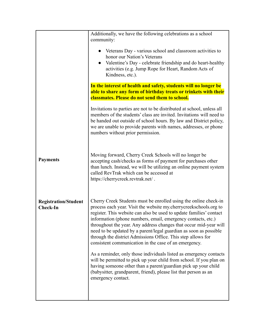|                                                | Additionally, we have the following celebrations as a school<br>community:<br>• Veterans Day - various school and classroom activities to<br>honor our Nation's Veterans<br>Valentine's Day - celebrate friendship and do heart-healthy<br>activities (e.g. Jump Rope for Heart, Random Acts of<br>Kindness, etc.).                                                                                                                                                                                                                                                                                                                                                                                                                                                                                                                                      |
|------------------------------------------------|----------------------------------------------------------------------------------------------------------------------------------------------------------------------------------------------------------------------------------------------------------------------------------------------------------------------------------------------------------------------------------------------------------------------------------------------------------------------------------------------------------------------------------------------------------------------------------------------------------------------------------------------------------------------------------------------------------------------------------------------------------------------------------------------------------------------------------------------------------|
|                                                | In the interest of health and safety, students will no longer be<br>able to share any form of birthday treats or trinkets with their<br>classmates. Please do not send them to school.                                                                                                                                                                                                                                                                                                                                                                                                                                                                                                                                                                                                                                                                   |
|                                                | Invitations to parties are not to be distributed at school, unless all<br>members of the students' class are invited. Invitations will need to<br>be handed out outside of school hours. By law and District policy,<br>we are unable to provide parents with names, addresses, or phone<br>numbers without prior permission.                                                                                                                                                                                                                                                                                                                                                                                                                                                                                                                            |
| <b>Payments</b>                                | Moving forward, Cherry Creek Schools will no longer be<br>accepting cash/checks as forms of payment for purchases other<br>than lunch. Instead, we will be utilizing an online payment system<br>called RevTrak which can be accessed at<br>https://cherrycreek.revtrak.net/.                                                                                                                                                                                                                                                                                                                                                                                                                                                                                                                                                                            |
| <b>Registration/Student</b><br><b>Check-In</b> | Cherry Creek Students must be enrolled using the online check-in<br>process each year. Visit the website my.cherrycreekschools.org to<br>register. This website can also be used to update families' contact<br>information (phone numbers, email, emergency contacts, etc.)<br>throughout the year. Any address changes that occur mid-year will<br>need to be updated by a parent/legal guardian as soon as possible<br>through the district Admissions Office. This step allows for<br>consistent communication in the case of an emergency.<br>As a reminder, only those individuals listed as emergency contacts<br>will be permitted to pick up your child from school. If you plan on<br>having someone other than a parent/guardian pick up your child<br>(babysitter, grandparent, friend), please list that person as an<br>emergency contact. |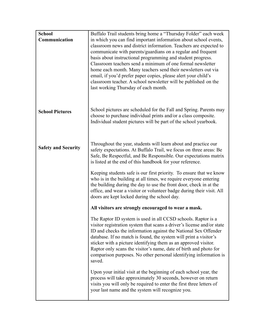| <b>School</b>              | Buffalo Trail students bring home a "Thursday Folder" each week                                                                         |
|----------------------------|-----------------------------------------------------------------------------------------------------------------------------------------|
| Communication              | in which you can find important information about school events,                                                                        |
|                            | classroom news and district information. Teachers are expected to                                                                       |
|                            | communicate with parents/guardians on a regular and frequent                                                                            |
|                            | basis about instructional programming and student progress.                                                                             |
|                            | Classroom teachers send a minimum of one formal newsletter                                                                              |
|                            | home each month. Many teachers send their newsletters out via                                                                           |
|                            | email, if you'd prefer paper copies, please alert your child's<br>classroom teacher. A school newsletter will be published on the       |
|                            | last working Thursday of each month.                                                                                                    |
|                            |                                                                                                                                         |
|                            |                                                                                                                                         |
|                            | School pictures are scheduled for the Fall and Spring. Parents may                                                                      |
| <b>School Pictures</b>     | choose to purchase individual prints and/or a class composite.                                                                          |
|                            | Individual student pictures will be part of the school yearbook.                                                                        |
|                            |                                                                                                                                         |
|                            |                                                                                                                                         |
| <b>Safety and Security</b> | Throughout the year, students will learn about and practice our                                                                         |
|                            | safety expectations. At Buffalo Trail, we focus on three areas: Be                                                                      |
|                            | Safe, Be Respectful, and Be Responsible. Our expectations matrix<br>is listed at the end of this handbook for your reference.           |
|                            |                                                                                                                                         |
|                            | Keeping students safe is our first priority. To ensure that we know                                                                     |
|                            | who is in the building at all times, we require everyone entering<br>the building during the day to use the front door, check in at the |
|                            | office, and wear a visitor or volunteer badge during their visit. All                                                                   |
|                            | doors are kept locked during the school day.                                                                                            |
|                            | All visitors are strongly encouraged to wear a mask.                                                                                    |
|                            | The Raptor ID system is used in all CCSD schools. Raptor is a                                                                           |
|                            | visitor registration system that scans a driver's license and/or state                                                                  |
|                            | ID and checks the information against the National Sex Offender                                                                         |
|                            | database. If no match is found, the system will print a visitor's                                                                       |
|                            | sticker with a picture identifying them as an approved visitor.                                                                         |
|                            | Raptor only scans the visitor's name, date of birth and photo for<br>comparison purposes. No other personal identifying information is  |
|                            | saved.                                                                                                                                  |
|                            |                                                                                                                                         |
|                            | Upon your initial visit at the beginning of each school year, the<br>process will take approximately 30 seconds, however on return      |
|                            | visits you will only be required to enter the first three letters of                                                                    |
|                            | your last name and the system will recognize you.                                                                                       |
|                            |                                                                                                                                         |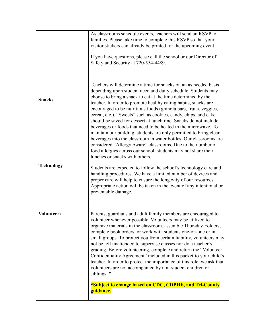|                   | As classrooms schedule events, teachers will send an RSVP to<br>families. Please take time to complete this RSVP so that your<br>visitor stickers can already be printed for the upcoming event.<br>If you have questions, please call the school or our Director of<br>Safety and Security at 720-554-4489.                                                                                                                                                                                                                                                                                                                                                                                                                                                                                                                                                |
|-------------------|-------------------------------------------------------------------------------------------------------------------------------------------------------------------------------------------------------------------------------------------------------------------------------------------------------------------------------------------------------------------------------------------------------------------------------------------------------------------------------------------------------------------------------------------------------------------------------------------------------------------------------------------------------------------------------------------------------------------------------------------------------------------------------------------------------------------------------------------------------------|
| <b>Snacks</b>     | Teachers will determine a time for snacks on an as needed basis<br>depending upon student need and daily schedule. Students may<br>choose to bring a snack to eat at the time determined by the<br>teacher. In order to promote healthy eating habits, snacks are<br>encouraged to be nutritious foods (granola bars, fruits, veggies,<br>cereal, etc.). "Sweets" such as cookies, candy, chips, and cake<br>should be saved for dessert at lunchtime. Snacks do not include<br>beverages or foods that need to be heated in the microwave. To<br>maintain our building, students are only permitted to bring clear<br>beverages into the classroom in water bottles. Our classrooms are<br>considered "Allergy Aware" classrooms. Due to the number of<br>food allergies across our school, students may not share their<br>lunches or snacks with others. |
| <b>Technology</b> | Students are expected to follow the school's technology care and<br>handling procedures. We have a limited number of devices and<br>proper care will help to ensure the longevity of our resources.<br>Appropriate action will be taken in the event of any intentional or<br>preventable damage.                                                                                                                                                                                                                                                                                                                                                                                                                                                                                                                                                           |
| <b>Volunteers</b> | Parents, guardians and adult family members are encouraged to<br>volunteer whenever possible. Volunteers may be utilized to<br>organize materials in the classroom, assemble Thursday Folders,<br>complete book orders, or work with students one-on-one or in<br>small groups. To protect you from certain liability, volunteers may<br>not be left unattended to supervise classes nor do a teacher's<br>grading. Before volunteering, complete and return the "Volunteer<br>Confidentiality Agreement" included in this packet to your child's<br>teacher. In order to protect the importance of this role, we ask that<br>volunteers are not accompanied by non-student children or<br>siblings. *<br>*Subject to change based on CDC, CDPHE, and Tri-County                                                                                            |
|                   | guidance.                                                                                                                                                                                                                                                                                                                                                                                                                                                                                                                                                                                                                                                                                                                                                                                                                                                   |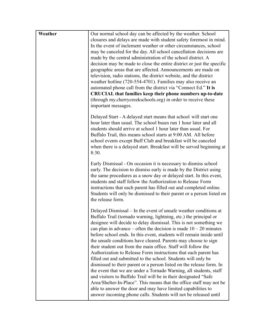| Weather | Our normal school day can be affected by the weather. School<br>closures and delays are made with student safety foremost in mind.<br>In the event of inclement weather or other circumstances, school<br>may be canceled for the day. All school cancellation decisions are<br>made by the central administration of the school district. A<br>decision may be made to close the entire district or just the specific<br>geographic areas that are affected. Announcements are made on<br>television, radio stations, the district website, and the district<br>weather hotline (720-554-4701). Families may also receive an<br>automated phone call from the district via "Connect Ed." It is<br><b>CRUCIAL</b> that families keep their phone numbers up-to-date<br>(through my.cherrycreekschools.org) in order to receive these<br>important messages.                                                                                                                                                                                                  |
|---------|--------------------------------------------------------------------------------------------------------------------------------------------------------------------------------------------------------------------------------------------------------------------------------------------------------------------------------------------------------------------------------------------------------------------------------------------------------------------------------------------------------------------------------------------------------------------------------------------------------------------------------------------------------------------------------------------------------------------------------------------------------------------------------------------------------------------------------------------------------------------------------------------------------------------------------------------------------------------------------------------------------------------------------------------------------------|
|         | Delayed Start - A delayed start means that school will start one<br>hour later than usual. The school buses run 1 hour later and all<br>students should arrive at school 1 hour later than usual. For<br>Buffalo Trail, this means school starts at 9:00 AM. All before<br>school events except Buff Club and breakfast will be canceled<br>when there is a delayed start. Breakfast will be served beginning at<br>8:30.                                                                                                                                                                                                                                                                                                                                                                                                                                                                                                                                                                                                                                    |
|         | Early Dismissal - On occasion it is necessary to dismiss school<br>early. The decision to dismiss early is made by the District using<br>the same procedures as a snow day or delayed start. In this event,<br>students and staff follow the Authorization to Release Form<br>instructions that each parent has filled out and completed online.<br>Students will only be dismissed to their parent or a person listed on<br>the release form.                                                                                                                                                                                                                                                                                                                                                                                                                                                                                                                                                                                                               |
|         | Delayed Dismissal – In the event of unsafe weather conditions at<br>Buffalo Trail (tornado warning, lightning, etc.) the principal or<br>designee will decide to delay dismissal. This is not something we<br>can plan in advance – often the decision is made $10 - 20$ minutes<br>before school ends. In this event, students will remain inside until<br>the unsafe conditions have cleared. Parents may choose to sign<br>their student out from the main office. Staff will follow the<br>Authorization to Release Form instructions that each parent has<br>filled out and submitted to the school. Students will only be<br>dismissed to their parent or a person listed on the release form. In<br>the event that we are under a Tornado Warning, all students, staff<br>and visitors to Buffalo Trail will be in their designated "Safe"<br>Area/Shelter-In-Place". This means that the office staff may not be<br>able to answer the door and may have limited capabilities to<br>answer incoming phone calls. Students will not be released until |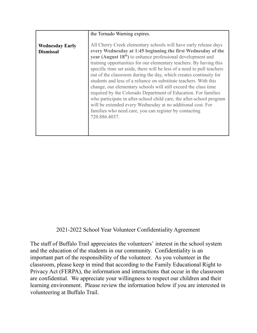|                                            | the Tornado Warning expires.                                                                                                                                                                                                                                                                                                                                                                                                                                                                                                                                                                                                                                                                                                                                                                                                                       |
|--------------------------------------------|----------------------------------------------------------------------------------------------------------------------------------------------------------------------------------------------------------------------------------------------------------------------------------------------------------------------------------------------------------------------------------------------------------------------------------------------------------------------------------------------------------------------------------------------------------------------------------------------------------------------------------------------------------------------------------------------------------------------------------------------------------------------------------------------------------------------------------------------------|
| <b>Wednesday Early</b><br><b>Dismissal</b> | All Cherry Creek elementary schools will have early release days<br>every Wednesday at 1:45 beginning the first Wednesday of the<br>year (August $18th$ ) to enhance professional development and<br>training opportunities for our elementary teachers. By having this<br>specific time set aside, there will be less of a need to pull teachers<br>out of the classroom during the day, which creates continuity for<br>students and less of a reliance on substitute teachers. With this<br>change, our elementary schools will still exceed the class time<br>required by the Colorado Department of Education. For families<br>who participate in after-school child care, the after-school program<br>will be extended every Wednesday at no additional cost. For<br>families who need care, you can register by contacting<br>720.886.4037. |

## 2021-2022 School Year Volunteer Confidentiality Agreement

The staff of Buffalo Trail appreciates the volunteers' interest in the school system and the education of the students in our community. Confidentiality is an important part of the responsibility of the volunteer. As you volunteer in the classroom, please keep in mind that according to the Family Educational Right to Privacy Act (FERPA), the information and interactions that occur in the classroom are confidential. We appreciate your willingness to respect our children and their learning environment. Please review the information below if you are interested in volunteering at Buffalo Trail.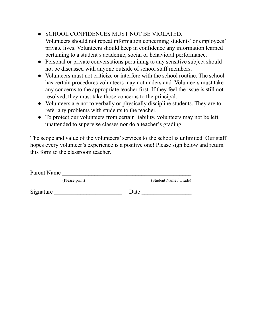● SCHOOL CONFIDENCES MUST NOT BE VIOLATED.

Volunteers should not repeat information concerning students' or employees' private lives. Volunteers should keep in confidence any information learned pertaining to a student's academic, social or behavioral performance.

- Personal or private conversations pertaining to any sensitive subject should not be discussed with anyone outside of school staff members.
- Volunteers must not criticize or interfere with the school routine. The school has certain procedures volunteers may not understand. Volunteers must take any concerns to the appropriate teacher first. If they feel the issue is still not resolved, they must take those concerns to the principal.
- Volunteers are not to verbally or physically discipline students. They are to refer any problems with students to the teacher.
- To protect our volunteers from certain liability, volunteers may not be left unattended to supervise classes nor do a teacher's grading.

The scope and value of the volunteers' services to the school is unlimited. Our staff hopes every volunteer's experience is a positive one! Please sign below and return this form to the classroom teacher.

| Parent Name |                |      |                        |
|-------------|----------------|------|------------------------|
|             | (Please print) |      | (Student Name / Grade) |
| Signature   |                | Date |                        |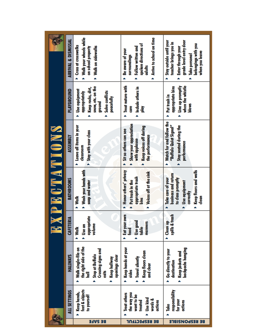|             | ARRIVAL & DISMISSAL | Walk your wheels while<br><b>Cross at crosswalks</b><br>> Walk on sidewalks<br>on school property                                                  | Arrive to school on time<br>spoken directions of<br>Follow written and<br>Be aware of your<br>surroundings<br>adults | > Stay outside until your<br>grade level entry door<br>teacher brings you in<br>belongings with you<br>Enter through your<br>when you leave<br>Take personal |
|-------------|---------------------|----------------------------------------------------------------------------------------------------------------------------------------------------|----------------------------------------------------------------------------------------------------------------------|--------------------------------------------------------------------------------------------------------------------------------------------------------------|
| XPECTATIONS | <b>PLAYGROUND</b>   | snow, etc. on the<br>Keep rocks, dirt,<br>bse equipment<br>> Solve conflicts<br>appropriately<br>peacetully<br>ground                              | Treat nature with<br>Indude others in<br>gue<br>횰<br>Â                                                               | Line up promptly<br>when the whistle<br>appropriate bins<br>Put trash in<br><b>Sworp</b>                                                                     |
|             | <b>ASSEMBLY</b>     | Leave all items in your<br>> Stay with your class<br>dassroom                                                                                      | Show your appreciation<br>Keep voices off during<br>> Sitso others can see<br>the performance<br>with applause       | Watch for and follow the<br>"Buffalo Quiet Signal"<br>Stay seated during the<br>performance                                                                  |
|             | <b>BATHROOMS</b>    | Wash your hands with<br>soap and water<br>Walk                                                                                                     | > Honor others' privacy<br>Voices off at the sink<br>appropriate trash<br>Put trash in the<br><u>Said</u>            | Keep floors and walls<br>business and return<br>Take care of your<br>to class promptly<br>Use equipment<br>correctly<br>dean                                 |
|             | CAFETERIA           | Ë<br>dorddio<br>volume<br>Use an<br>Walk<br>Â                                                                                                      | Eat your own<br>Use good<br>manners<br>table<br>tood<br>Ä                                                            | spills & trash<br><b>Clean</b> up                                                                                                                            |
|             | <b>HALLWAYS</b>     | the right side of the<br>Walk single-file on<br><b>Crossing signs and</b><br>Stop at Buffalo<br>openings clear<br>Keep hallway<br>đ<br>Ī<br>۸<br>Á | Keep hands at your<br>Keep floors clean<br><b>Travel silently</b><br>and clear<br>sides<br>۸                         | backpacks hanging<br>Go directly to your<br>Keep jackets and<br>destination<br>۸                                                                             |
|             | ALL SETTINGS        | feet & objects<br>Keep hands,<br>to yourself                                                                                                       | the way you<br><b>Treat others</b><br>want to be<br><b>Use kind</b><br>words &<br>treated<br>actions<br>Á            | responsibility<br>for your<br>actions<br>Take                                                                                                                |
|             |                     | <b>BE SAFE</b>                                                                                                                                     | <b>BE BE2bECLLOT</b>                                                                                                 | <b>BE BE2bON2IBFE</b>                                                                                                                                        |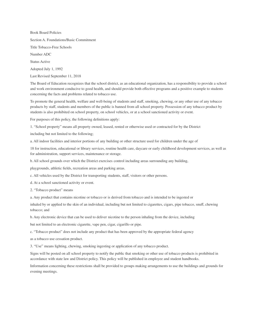Book Board Policies Section A. Foundations/Basic Commitment Title Tobacco-Free Schools Number ADC Status Active Adopted July 1, 1992

Last Revised September 11, 2018

The Board of Education recognizes that the school district, as an educational organization, has a responsibility to provide a school and work environment conducive to good health, and should provide both effective programs and a positive example to students concerning the facts and problems related to tobacco use.

To promote the general health, welfare and well-being of students and staff, smoking, chewing, or any other use of any tobacco products by staff, students and members of the public is banned from all school property. Possession of any tobacco product by students is also prohibited on school property, on school vehicles, or at a school sanctioned activity or event.

For purposes of this policy, the following definitions apply:

1. "School property" means all property owned, leased, rented or otherwise used or contracted for by the District

including but not limited to the following;

a. All indoor facilities and interior portions of any building or other structure used for children under the age of

18 for instruction, educational or library services, routine health care, daycare or early childhood development services, as well as for administration, support services, maintenance or storage.

b. All school grounds over which the District exercises control including areas surrounding any building,

playgrounds, athletic fields, recreation areas and parking areas.

c. All vehicles used by the District for transporting students, staff, visitors or other persons.

d. At a school sanctioned activity or event.

2. "Tobacco product" means

a. Any product that contains nicotine or tobacco or is derived from tobacco and is intended to be ingested or

inhaled by or applied to the skin of an individual, including but not limited to cigarettes, cigars, pipe tobacco, snuff, chewing tobacco; and

b. Any electronic device that can be used to deliver nicotine to the person inhaling from the device, including

but not limited to an electronic cigarette, vape pen, cigar, cigarillo or pipe.

c. "Tobacco product" does not include any product that has been approved by the appropriate federal agency

as a tobacco use cessation product.

3. "Use" means lighting, chewing, smoking ingesting or application of any tobacco product.

Signs will be posted on all school property to notify the public that smoking or other use of tobacco products is prohibited in accordance with state law and District policy. This policy will be published in employee and student handbooks.

Information concerning these restrictions shall be provided to groups making arrangements to use the buildings and grounds for evening meetings.